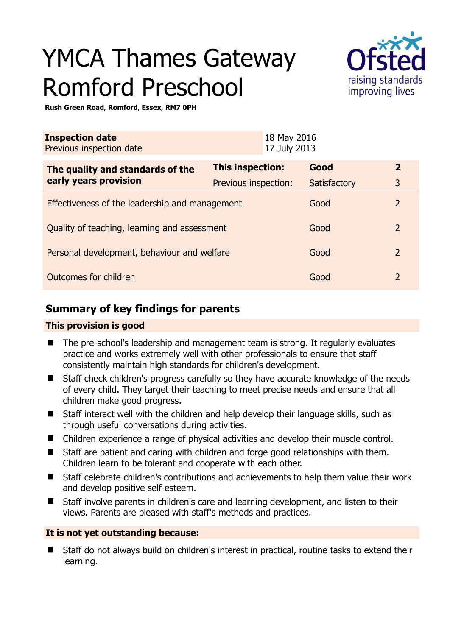# YMCA Thames Gateway Romford Preschool



**Rush Green Road, Romford, Essex, RM7 0PH** 

| <b>Inspection date</b><br>Previous inspection date |                         | 18 May 2016<br>17 July 2013 |              |                |
|----------------------------------------------------|-------------------------|-----------------------------|--------------|----------------|
| The quality and standards of the                   | <b>This inspection:</b> |                             | Good         | $\overline{2}$ |
| early years provision                              | Previous inspection:    |                             | Satisfactory | 3              |
| Effectiveness of the leadership and management     |                         |                             | Good         | 2              |
| Quality of teaching, learning and assessment       |                         |                             | Good         | $\overline{2}$ |
| Personal development, behaviour and welfare        |                         |                             | Good         | $\overline{2}$ |
| Outcomes for children                              |                         |                             | Good         | $\overline{2}$ |

# **Summary of key findings for parents**

## **This provision is good**

- The pre-school's leadership and management team is strong. It regularly evaluates practice and works extremely well with other professionals to ensure that staff consistently maintain high standards for children's development.
- Staff check children's progress carefully so they have accurate knowledge of the needs of every child. They target their teaching to meet precise needs and ensure that all children make good progress.
- Staff interact well with the children and help develop their language skills, such as through useful conversations during activities.
- Children experience a range of physical activities and develop their muscle control.
- Staff are patient and caring with children and forge good relationships with them. Children learn to be tolerant and cooperate with each other.
- Staff celebrate children's contributions and achievements to help them value their work and develop positive self-esteem.
- Staff involve parents in children's care and learning development, and listen to their views. Parents are pleased with staff's methods and practices.

## **It is not yet outstanding because:**

■ Staff do not always build on children's interest in practical, routine tasks to extend their learning.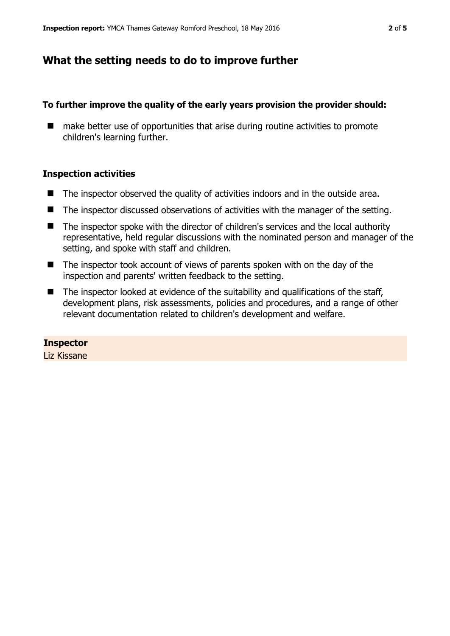## **What the setting needs to do to improve further**

## **To further improve the quality of the early years provision the provider should:**

■ make better use of opportunities that arise during routine activities to promote children's learning further.

## **Inspection activities**

- The inspector observed the quality of activities indoors and in the outside area.
- The inspector discussed observations of activities with the manager of the setting.
- The inspector spoke with the director of children's services and the local authority representative, held regular discussions with the nominated person and manager of the setting, and spoke with staff and children.
- The inspector took account of views of parents spoken with on the day of the inspection and parents' written feedback to the setting.
- The inspector looked at evidence of the suitability and qualifications of the staff, development plans, risk assessments, policies and procedures, and a range of other relevant documentation related to children's development and welfare.

# **Inspector**

Liz Kissane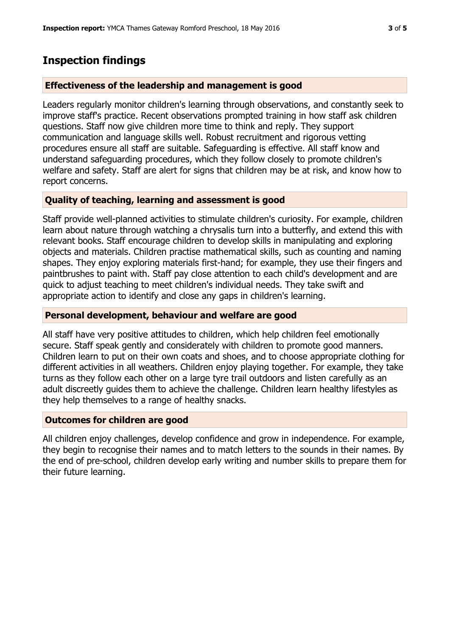# **Inspection findings**

## **Effectiveness of the leadership and management is good**

Leaders regularly monitor children's learning through observations, and constantly seek to improve staff's practice. Recent observations prompted training in how staff ask children questions. Staff now give children more time to think and reply. They support communication and language skills well. Robust recruitment and rigorous vetting procedures ensure all staff are suitable. Safeguarding is effective. All staff know and understand safeguarding procedures, which they follow closely to promote children's welfare and safety. Staff are alert for signs that children may be at risk, and know how to report concerns.

## **Quality of teaching, learning and assessment is good**

Staff provide well-planned activities to stimulate children's curiosity. For example, children learn about nature through watching a chrysalis turn into a butterfly, and extend this with relevant books. Staff encourage children to develop skills in manipulating and exploring objects and materials. Children practise mathematical skills, such as counting and naming shapes. They enjoy exploring materials first-hand; for example, they use their fingers and paintbrushes to paint with. Staff pay close attention to each child's development and are quick to adjust teaching to meet children's individual needs. They take swift and appropriate action to identify and close any gaps in children's learning.

## **Personal development, behaviour and welfare are good**

All staff have very positive attitudes to children, which help children feel emotionally secure. Staff speak gently and considerately with children to promote good manners. Children learn to put on their own coats and shoes, and to choose appropriate clothing for different activities in all weathers. Children enjoy playing together. For example, they take turns as they follow each other on a large tyre trail outdoors and listen carefully as an adult discreetly guides them to achieve the challenge. Children learn healthy lifestyles as they help themselves to a range of healthy snacks.

#### **Outcomes for children are good**

All children enjoy challenges, develop confidence and grow in independence. For example, they begin to recognise their names and to match letters to the sounds in their names. By the end of pre-school, children develop early writing and number skills to prepare them for their future learning.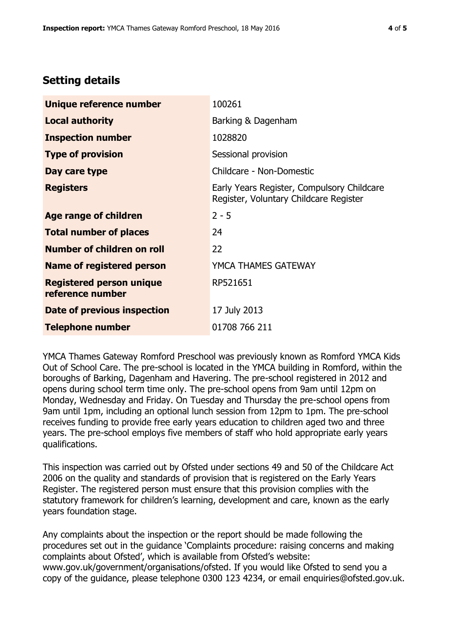# **Setting details**

| Unique reference number                             | 100261                                                                               |  |
|-----------------------------------------------------|--------------------------------------------------------------------------------------|--|
| <b>Local authority</b>                              | Barking & Dagenham                                                                   |  |
| <b>Inspection number</b>                            | 1028820                                                                              |  |
| <b>Type of provision</b>                            | Sessional provision                                                                  |  |
| Day care type                                       | Childcare - Non-Domestic                                                             |  |
| <b>Registers</b>                                    | Early Years Register, Compulsory Childcare<br>Register, Voluntary Childcare Register |  |
| Age range of children                               | $2 - 5$                                                                              |  |
| <b>Total number of places</b>                       | 24                                                                                   |  |
| Number of children on roll                          | 22                                                                                   |  |
| <b>Name of registered person</b>                    | YMCA THAMES GATEWAY                                                                  |  |
| <b>Registered person unique</b><br>reference number | RP521651                                                                             |  |
| Date of previous inspection                         | 17 July 2013                                                                         |  |
| <b>Telephone number</b>                             | 01708 766 211                                                                        |  |

YMCA Thames Gateway Romford Preschool was previously known as Romford YMCA Kids Out of School Care. The pre-school is located in the YMCA building in Romford, within the boroughs of Barking, Dagenham and Havering. The pre-school registered in 2012 and opens during school term time only. The pre-school opens from 9am until 12pm on Monday, Wednesday and Friday. On Tuesday and Thursday the pre-school opens from 9am until 1pm, including an optional lunch session from 12pm to 1pm. The pre-school receives funding to provide free early years education to children aged two and three years. The pre-school employs five members of staff who hold appropriate early years qualifications.

This inspection was carried out by Ofsted under sections 49 and 50 of the Childcare Act 2006 on the quality and standards of provision that is registered on the Early Years Register. The registered person must ensure that this provision complies with the statutory framework for children's learning, development and care, known as the early years foundation stage.

Any complaints about the inspection or the report should be made following the procedures set out in the guidance 'Complaints procedure: raising concerns and making complaints about Ofsted', which is available from Ofsted's website: www.gov.uk/government/organisations/ofsted. If you would like Ofsted to send you a copy of the guidance, please telephone 0300 123 4234, or email enquiries@ofsted.gov.uk.